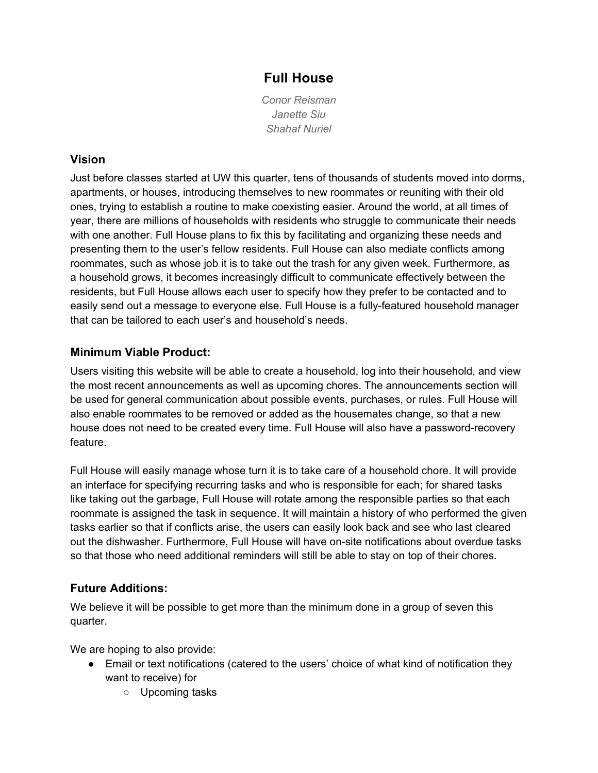# **Full House**

*Conor Reisman Janette Siu Shahaf Nuriel*

### **Vision**

Just before classes started at UW this quarter, tens of thousands of students moved into dorms, apartments, or houses, introducing themselves to new roommates or reuniting with their old ones, trying to establish a routine to make coexisting easier. Around the world, at all times of year, there are millions of households with residents who struggle to communicate their needs with one another. Full House plans to fix this by facilitating and organizing these needs and presenting them to the user's fellow residents. Full House can also mediate conflicts among roommates, such as whose job it is to take out the trash for any given week. Furthermore, as a household grows, it becomes increasingly difficult to communicate effectively between the residents, but Full House allows each user to specify how they prefer to be contacted and to easily send out a message to everyone else. Full House is a fully-featured household manager that can be tailored to each user's and household's needs.

## **Minimum Viable Product:**

Users visiting this website will be able to create a household, log into their household, and view the most recent announcements as well as upcoming chores. The announcements section will be used for general communication about possible events, purchases, or rules. Full House will also enable roommates to be removed or added as the housemates change, so that a new house does not need to be created every time. Full House will also have a password-recovery feature.

Full House will easily manage whose turn it is to take care of a household chore. It will provide an interface for specifying recurring tasks and who is responsible for each; for shared tasks like taking out the garbage, Full House will rotate among the responsible parties so that each roommate is assigned the task in sequence. It will maintain a history of who performed the given tasks earlier so that if conflicts arise, the users can easily look back and see who last cleared out the dishwasher. Furthermore, Full House will have on-site notifications about overdue tasks so that those who need additional reminders will still be able to stay on top of their chores.

#### **Future Additions:**

We believe it will be possible to get more than the minimum done in a group of seven this quarter.

We are hoping to also provide:

- Email or text notifications (catered to the users' choice of what kind of notification they want to receive) for
	- Upcoming tasks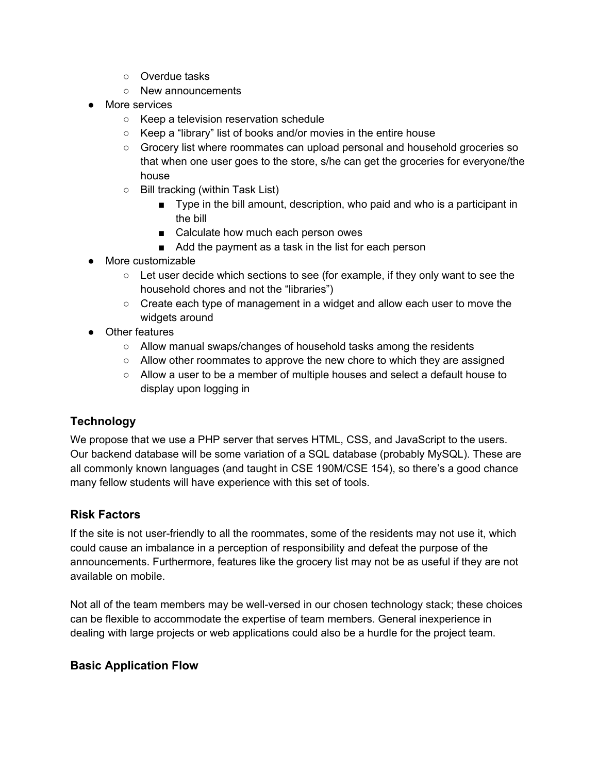- Overdue tasks
- New announcements
- More services
	- Keep a television reservation schedule
	- Keep a "library" list of books and/or movies in the entire house
	- Grocery list where roommates can upload personal and household groceries so that when one user goes to the store, s/he can get the groceries for everyone/the house
	- Bill tracking (within Task List)
		- Type in the bill amount, description, who paid and who is a participant in the bill
		- Calculate how much each person owes
		- Add the payment as a task in the list for each person
- More customizable
	- $\circ$  Let user decide which sections to see (for example, if they only want to see the household chores and not the "libraries")
	- $\circ$  Create each type of management in a widget and allow each user to move the widgets around
- Other features
	- Allow manual swaps/changes of household tasks among the residents
	- Allow other roommates to approve the new chore to which they are assigned
	- Allow a user to be a member of multiple houses and select a default house to display upon logging in

#### **Technology**

We propose that we use a PHP server that serves HTML, CSS, and JavaScript to the users. Our backend database will be some variation of a SQL database (probably MySQL). These are all commonly known languages (and taught in CSE 190M/CSE 154), so there's a good chance many fellow students will have experience with this set of tools.

#### **Risk Factors**

If the site is not user-friendly to all the roommates, some of the residents may not use it, which could cause an imbalance in a perception of responsibility and defeat the purpose of the announcements. Furthermore, features like the grocery list may not be as useful if they are not available on mobile.

Not all of the team members may be well-versed in our chosen technology stack; these choices can be flexible to accommodate the expertise of team members. General inexperience in dealing with large projects or web applications could also be a hurdle for the project team.

#### **Basic Application Flow**